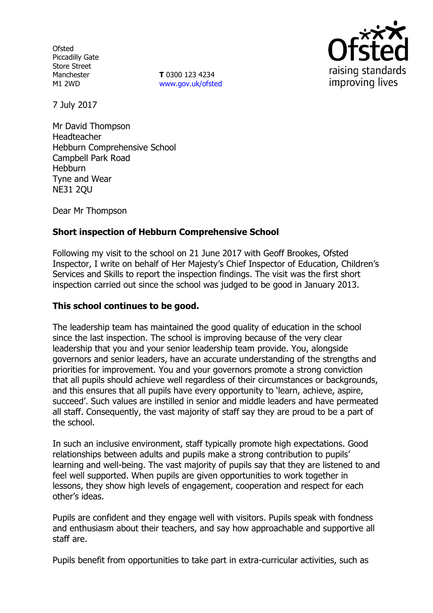**Ofsted** Piccadilly Gate Store Street Manchester M1 2WD

**T** 0300 123 4234 www.gov.uk/ofsted



7 July 2017

Mr David Thompson Headteacher Hebburn Comprehensive School Campbell Park Road **Hebburn** Tyne and Wear NE31 2QU

Dear Mr Thompson

## **Short inspection of Hebburn Comprehensive School**

Following my visit to the school on 21 June 2017 with Geoff Brookes, Ofsted Inspector, I write on behalf of Her Majesty's Chief Inspector of Education, Children's Services and Skills to report the inspection findings. The visit was the first short inspection carried out since the school was judged to be good in January 2013.

#### **This school continues to be good.**

The leadership team has maintained the good quality of education in the school since the last inspection. The school is improving because of the very clear leadership that you and your senior leadership team provide. You, alongside governors and senior leaders, have an accurate understanding of the strengths and priorities for improvement. You and your governors promote a strong conviction that all pupils should achieve well regardless of their circumstances or backgrounds, and this ensures that all pupils have every opportunity to 'learn, achieve, aspire, succeed'. Such values are instilled in senior and middle leaders and have permeated all staff. Consequently, the vast majority of staff say they are proud to be a part of the school.

In such an inclusive environment, staff typically promote high expectations. Good relationships between adults and pupils make a strong contribution to pupils' learning and well-being. The vast majority of pupils say that they are listened to and feel well supported. When pupils are given opportunities to work together in lessons, they show high levels of engagement, cooperation and respect for each other's ideas.

Pupils are confident and they engage well with visitors. Pupils speak with fondness and enthusiasm about their teachers, and say how approachable and supportive all staff are.

Pupils benefit from opportunities to take part in extra-curricular activities, such as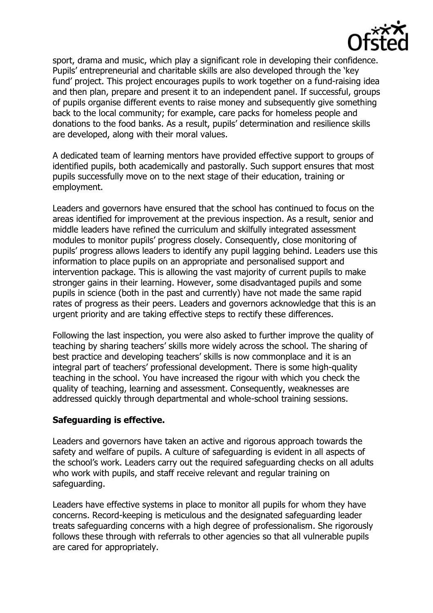

sport, drama and music, which play a significant role in developing their confidence. Pupils' entrepreneurial and charitable skills are also developed through the 'key fund' project. This project encourages pupils to work together on a fund-raising idea and then plan, prepare and present it to an independent panel. If successful, groups of pupils organise different events to raise money and subsequently give something back to the local community; for example, care packs for homeless people and donations to the food banks. As a result, pupils' determination and resilience skills are developed, along with their moral values.

A dedicated team of learning mentors have provided effective support to groups of identified pupils, both academically and pastorally. Such support ensures that most pupils successfully move on to the next stage of their education, training or employment.

Leaders and governors have ensured that the school has continued to focus on the areas identified for improvement at the previous inspection. As a result, senior and middle leaders have refined the curriculum and skilfully integrated assessment modules to monitor pupils' progress closely. Consequently, close monitoring of pupils' progress allows leaders to identify any pupil lagging behind. Leaders use this information to place pupils on an appropriate and personalised support and intervention package. This is allowing the vast majority of current pupils to make stronger gains in their learning. However, some disadvantaged pupils and some pupils in science (both in the past and currently) have not made the same rapid rates of progress as their peers. Leaders and governors acknowledge that this is an urgent priority and are taking effective steps to rectify these differences.

Following the last inspection, you were also asked to further improve the quality of teaching by sharing teachers' skills more widely across the school. The sharing of best practice and developing teachers' skills is now commonplace and it is an integral part of teachers' professional development. There is some high-quality teaching in the school. You have increased the rigour with which you check the quality of teaching, learning and assessment. Consequently, weaknesses are addressed quickly through departmental and whole-school training sessions.

### **Safeguarding is effective.**

Leaders and governors have taken an active and rigorous approach towards the safety and welfare of pupils. A culture of safeguarding is evident in all aspects of the school's work. Leaders carry out the required safeguarding checks on all adults who work with pupils, and staff receive relevant and regular training on safeguarding.

Leaders have effective systems in place to monitor all pupils for whom they have concerns. Record-keeping is meticulous and the designated safeguarding leader treats safeguarding concerns with a high degree of professionalism. She rigorously follows these through with referrals to other agencies so that all vulnerable pupils are cared for appropriately.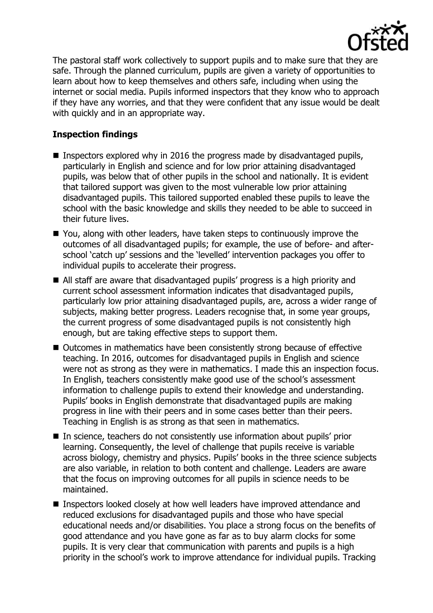

The pastoral staff work collectively to support pupils and to make sure that they are safe. Through the planned curriculum, pupils are given a variety of opportunities to learn about how to keep themselves and others safe, including when using the internet or social media. Pupils informed inspectors that they know who to approach if they have any worries, and that they were confident that any issue would be dealt with quickly and in an appropriate way.

# **Inspection findings**

- **Inspectors explored why in 2016 the progress made by disadvantaged pupils,** particularly in English and science and for low prior attaining disadvantaged pupils, was below that of other pupils in the school and nationally. It is evident that tailored support was given to the most vulnerable low prior attaining disadvantaged pupils. This tailored supported enabled these pupils to leave the school with the basic knowledge and skills they needed to be able to succeed in their future lives.
- You, along with other leaders, have taken steps to continuously improve the outcomes of all disadvantaged pupils; for example, the use of before- and afterschool 'catch up' sessions and the 'levelled' intervention packages you offer to individual pupils to accelerate their progress.
- All staff are aware that disadvantaged pupils' progress is a high priority and current school assessment information indicates that disadvantaged pupils, particularly low prior attaining disadvantaged pupils, are, across a wider range of subjects, making better progress. Leaders recognise that, in some year groups, the current progress of some disadvantaged pupils is not consistently high enough, but are taking effective steps to support them.
- Outcomes in mathematics have been consistently strong because of effective teaching. In 2016, outcomes for disadvantaged pupils in English and science were not as strong as they were in mathematics. I made this an inspection focus. In English, teachers consistently make good use of the school's assessment information to challenge pupils to extend their knowledge and understanding. Pupils' books in English demonstrate that disadvantaged pupils are making progress in line with their peers and in some cases better than their peers. Teaching in English is as strong as that seen in mathematics.
- In science, teachers do not consistently use information about pupils' prior learning. Consequently, the level of challenge that pupils receive is variable across biology, chemistry and physics. Pupils' books in the three science subjects are also variable, in relation to both content and challenge. Leaders are aware that the focus on improving outcomes for all pupils in science needs to be maintained.
- Inspectors looked closely at how well leaders have improved attendance and reduced exclusions for disadvantaged pupils and those who have special educational needs and/or disabilities. You place a strong focus on the benefits of good attendance and you have gone as far as to buy alarm clocks for some pupils. It is very clear that communication with parents and pupils is a high priority in the school's work to improve attendance for individual pupils. Tracking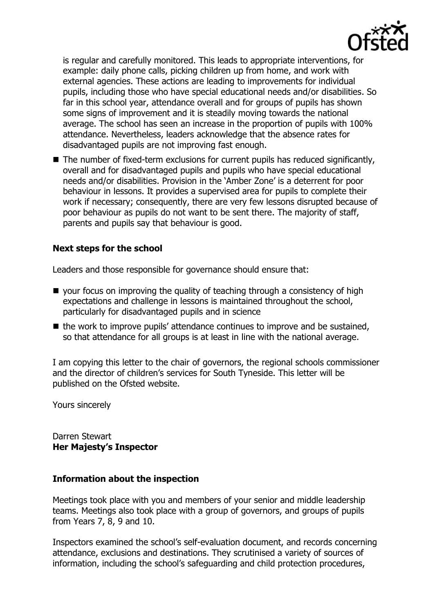

is regular and carefully monitored. This leads to appropriate interventions, for example: daily phone calls, picking children up from home, and work with external agencies. These actions are leading to improvements for individual pupils, including those who have special educational needs and/or disabilities. So far in this school year, attendance overall and for groups of pupils has shown some signs of improvement and it is steadily moving towards the national average. The school has seen an increase in the proportion of pupils with 100% attendance. Nevertheless, leaders acknowledge that the absence rates for disadvantaged pupils are not improving fast enough.

■ The number of fixed-term exclusions for current pupils has reduced significantly, overall and for disadvantaged pupils and pupils who have special educational needs and/or disabilities. Provision in the 'Amber Zone' is a deterrent for poor behaviour in lessons. It provides a supervised area for pupils to complete their work if necessary; consequently, there are very few lessons disrupted because of poor behaviour as pupils do not want to be sent there. The majority of staff, parents and pupils say that behaviour is good.

### **Next steps for the school**

Leaders and those responsible for governance should ensure that:

- your focus on improving the quality of teaching through a consistency of high expectations and challenge in lessons is maintained throughout the school, particularly for disadvantaged pupils and in science
- $\blacksquare$  the work to improve pupils' attendance continues to improve and be sustained, so that attendance for all groups is at least in line with the national average.

I am copying this letter to the chair of governors, the regional schools commissioner and the director of children's services for South Tyneside. This letter will be published on the Ofsted website.

Yours sincerely

Darren Stewart **Her Majesty's Inspector**

### **Information about the inspection**

Meetings took place with you and members of your senior and middle leadership teams. Meetings also took place with a group of governors, and groups of pupils from Years 7, 8, 9 and 10.

Inspectors examined the school's self-evaluation document, and records concerning attendance, exclusions and destinations. They scrutinised a variety of sources of information, including the school's safeguarding and child protection procedures,